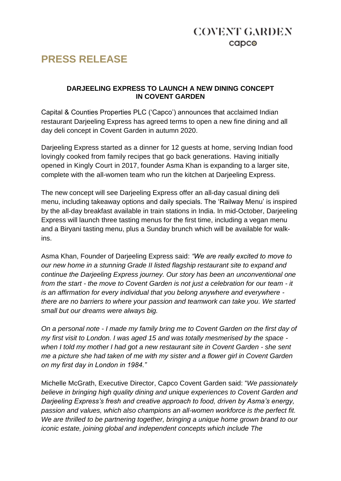## **COVENT GARDEN**  $c$ apc $\odot$

# **PRESS RELEASE**

#### **DARJEELING EXPRESS TO LAUNCH A NEW DINING CONCEPT IN COVENT GARDEN**

Capital & Counties Properties PLC ('Capco') announces that acclaimed Indian restaurant Darjeeling Express has agreed terms to open a new fine dining and all day deli concept in Covent Garden in autumn 2020.

Darjeeling Express started as a dinner for 12 guests at home, serving Indian food lovingly cooked from family recipes that go back generations. Having initially opened in Kingly Court in 2017, founder Asma Khan is expanding to a larger site, complete with the all-women team who run the kitchen at Darjeeling Express.

The new concept will see Darjeeling Express offer an all-day casual dining deli menu, including takeaway options and daily specials. The 'Railway Menu' is inspired by the all-day breakfast available in train stations in India. In mid-October, Darjeeling Express will launch three tasting menus for the first time, including a vegan menu and a Biryani tasting menu, plus a Sunday brunch which will be available for walkins.

Asma Khan, Founder of Darjeeling Express said: *"We are really excited to move to our new home in a stunning Grade II listed flagship restaurant site to expand and continue the Darjeeling Express journey. Our story has been an unconventional one from the start - the move to Covent Garden is not just a celebration for our team - it is an affirmation for every individual that you belong anywhere and everywhere there are no barriers to where your passion and teamwork can take you. We started small but our dreams were always big.*

*On a personal note - I made my family bring me to Covent Garden on the first day of my first visit to London. I was aged 15 and was totally mesmerised by the space when I told my mother I had got a new restaurant site in Covent Garden - she sent me a picture she had taken of me with my sister and a flower girl in Covent Garden on my first day in London in 1984."*

Michelle McGrath, Executive Director, Capco Covent Garden said: "*We passionately believe in bringing high quality dining and unique experiences to Covent Garden and Darjeeling Express's fresh and creative approach to food, driven by Asma's energy, passion and values, which also champions an all-women workforce is the perfect fit. We are thrilled to be partnering together, bringing a unique home grown brand to our iconic estate, joining global and independent concepts which include The*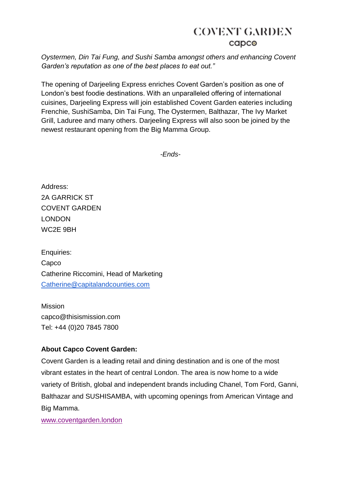## **COVENT GARDEN**  $c$ apc $\odot$

*Oystermen, Din Tai Fung, and Sushi Samba amongst others and enhancing Covent Garden's reputation as one of the best places to eat out."*

The opening of Darjeeling Express enriches Covent Garden's position as one of London's best foodie destinations. With an unparalleled offering of international cuisines, Darjeeling Express will join established Covent Garden eateries including Frenchie, SushiSamba, Din Tai Fung, The Oystermen, Balthazar, The Ivy Market Grill, Laduree and many others. Darjeeling Express will also soon be joined by the newest restaurant opening from the Big Mamma Group.

*-Ends-*

Address: 2A GARRICK ST COVENT GARDEN LONDON WC2E 9BH

Enquiries: Capco Catherine Riccomini, Head of Marketing [Catherine@capitalandcounties.com](mailto:Catherine@capitalandcounties.com) 

Mission capco@thisismission.com Tel: +44 (0)20 7845 7800

#### **About Capco Covent Garden:**

Covent Garden is a leading retail and dining destination and is one of the most vibrant estates in the heart of central London. The area is now home to a wide variety of British, global and independent brands including Chanel, Tom Ford, Ganni, Balthazar and SUSHISAMBA, with upcoming openings from American Vintage and Big Mamma.

[www.coventgarden.london](http://www.coventgarden.london/)